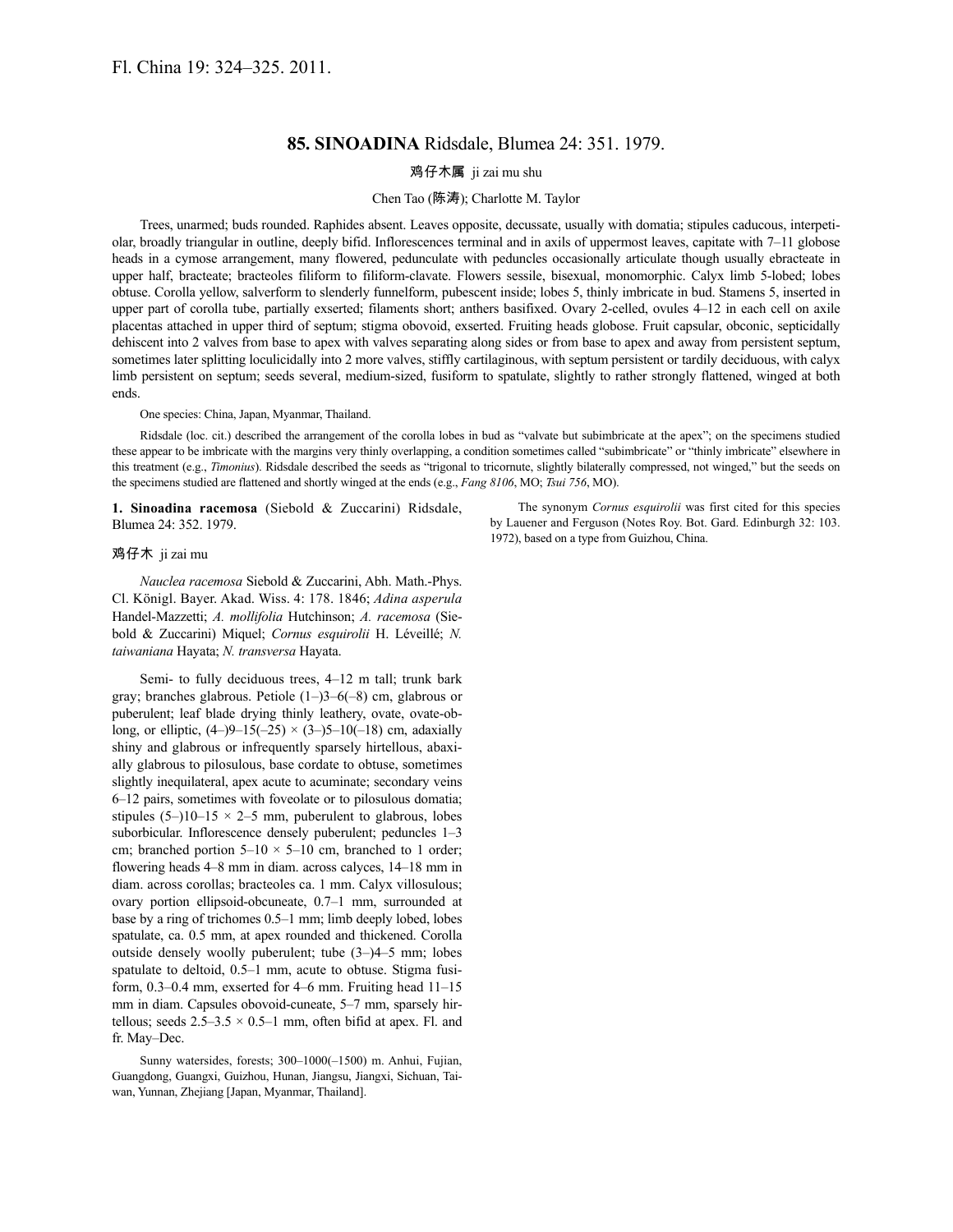## **85. SINOADINA** Ridsdale, Blumea 24: 351. 1979.

## 鸡仔木属 ji zai mu shu

## Chen Tao (陈涛); Charlotte M. Taylor

Trees, unarmed; buds rounded. Raphides absent. Leaves opposite, decussate, usually with domatia; stipules caducous, interpetiolar, broadly triangular in outline, deeply bifid. Inflorescences terminal and in axils of uppermost leaves, capitate with 7–11 globose heads in a cymose arrangement, many flowered, pedunculate with peduncles occasionally articulate though usually ebracteate in upper half, bracteate; bracteoles filiform to filiform-clavate. Flowers sessile, bisexual, monomorphic. Calyx limb 5-lobed; lobes obtuse. Corolla yellow, salverform to slenderly funnelform, pubescent inside; lobes 5, thinly imbricate in bud. Stamens 5, inserted in upper part of corolla tube, partially exserted; filaments short; anthers basifixed. Ovary 2-celled, ovules 4–12 in each cell on axile placentas attached in upper third of septum; stigma obovoid, exserted. Fruiting heads globose. Fruit capsular, obconic, septicidally dehiscent into 2 valves from base to apex with valves separating along sides or from base to apex and away from persistent septum, sometimes later splitting loculicidally into 2 more valves, stiffly cartilaginous, with septum persistent or tardily deciduous, with calyx limb persistent on septum; seeds several, medium-sized, fusiform to spatulate, slightly to rather strongly flattened, winged at both ends.

One species: China, Japan, Myanmar, Thailand.

Ridsdale (loc. cit.) described the arrangement of the corolla lobes in bud as "valvate but subimbricate at the apex"; on the specimens studied these appear to be imbricate with the margins very thinly overlapping, a condition sometimes called "subimbricate" or "thinly imbricate" elsewhere in this treatment (e.g., *Timonius*). Ridsdale described the seeds as "trigonal to tricornute, slightly bilaterally compressed, not winged," but the seeds on the specimens studied are flattened and shortly winged at the ends (e.g., *Fang 8106*, MO; *Tsui 756*, MO).

**1. Sinoadina racemosa** (Siebold & Zuccarini) Ridsdale, Blumea 24: 352. 1979.

The synonym *Cornus esquirolii* was first cited for this species by Lauener and Ferguson (Notes Roy. Bot. Gard. Edinburgh 32: 103. 1972), based on a type from Guizhou, China.

## 鸡仔木 ji zai mu

*Nauclea racemosa* Siebold & Zuccarini, Abh. Math.-Phys. Cl. Königl. Bayer. Akad. Wiss. 4: 178. 1846; *Adina asperula* Handel-Mazzetti; *A. mollifolia* Hutchinson; *A. racemosa* (Siebold & Zuccarini) Miquel; *Cornus esquirolii* H. Léveillé; *N. taiwaniana* Hayata; *N. transversa* Hayata.

Semi- to fully deciduous trees, 4–12 m tall; trunk bark gray; branches glabrous. Petiole (1–)3–6(–8) cm, glabrous or puberulent; leaf blade drying thinly leathery, ovate, ovate-oblong, or elliptic,  $(4-9-15(-25) \times (3-5-10(-18))$  cm, adaxially shiny and glabrous or infrequently sparsely hirtellous, abaxially glabrous to pilosulous, base cordate to obtuse, sometimes slightly inequilateral, apex acute to acuminate; secondary veins 6–12 pairs, sometimes with foveolate or to pilosulous domatia; stipules  $(5-)10-15 \times 2-5$  mm, puberulent to glabrous, lobes suborbicular. Inflorescence densely puberulent; peduncles 1–3 cm; branched portion  $5-10 \times 5-10$  cm, branched to 1 order; flowering heads 4–8 mm in diam. across calyces, 14–18 mm in diam. across corollas; bracteoles ca. 1 mm. Calyx villosulous; ovary portion ellipsoid-obcuneate, 0.7–1 mm, surrounded at base by a ring of trichomes 0.5–1 mm; limb deeply lobed, lobes spatulate, ca. 0.5 mm, at apex rounded and thickened. Corolla outside densely woolly puberulent; tube (3–)4–5 mm; lobes spatulate to deltoid, 0.5–1 mm, acute to obtuse. Stigma fusiform, 0.3–0.4 mm, exserted for 4–6 mm. Fruiting head 11–15 mm in diam. Capsules obovoid-cuneate, 5–7 mm, sparsely hirtellous; seeds  $2.5-3.5 \times 0.5-1$  mm, often bifid at apex. Fl. and fr. May–Dec.

Sunny watersides, forests; 300–1000(–1500) m. Anhui, Fujian, Guangdong, Guangxi, Guizhou, Hunan, Jiangsu, Jiangxi, Sichuan, Taiwan, Yunnan, Zhejiang [Japan, Myanmar, Thailand].